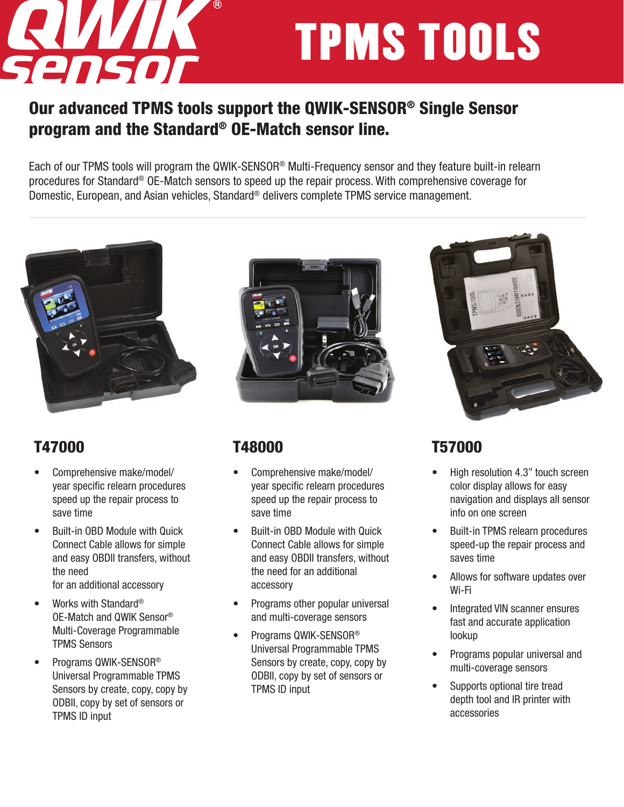

# TPMS TOOLS

#### Our advanced TPMS tools support the QWIK-SENSOR® Single Sensor program and the Standard® OE-Match sensor line.

Each of our TPMS tools will program the QWIK-SENSOR® Multi-Frequency sensor and they feature built-in relearn procedures for Standard® OE-Match sensors to speed up the repair process. With comprehensive coverage for Domestic, European, and Asian vehicles, Standard® delivers complete TPMS service management.



#### T47000

- Comprehensive make/model/ year specific relearn procedures speed up the repair process to save time
- Built-in OBD Module with Quick Connect Cable allows for simple and easy OBDII transfers, without the need for an additional accessory
- Works with Standard® OE-Match and QWIK Sensor® Multi-Coverage Programmable TPMS Sensors
- Programs QWIK-SENSOR® Universal Programmable TPMS Sensors by create, copy, copy by ODBII, copy by set of sensors or TPMS ID input



#### T48000

- Comprehensive make/model/ year specific relearn procedures speed up the repair process to save time
- Built-in OBD Module with Quick Connect Cable allows for simple and easy OBDII transfers, without the need for an additional accessory
- Programs other popular universal and multi-coverage sensors
- Programs QWIK-SENSOR® Universal Programmable TPMS Sensors by create, copy, copy by ODBII, copy by set of sensors or TPMS ID input



#### T57000

- High resolution 4.3" touch screen color display allows for easy navigation and displays all sensor info on one screen
- Built-in TPMS relearn procedures speed-up the repair process and saves time
- Allows for software updates over Wi-Fi
- Integrated VIN scanner ensures fast and accurate application lookup
- Programs popular universal and multi-coverage sensors
- Supports optional tire tread depth tool and IR printer with accessories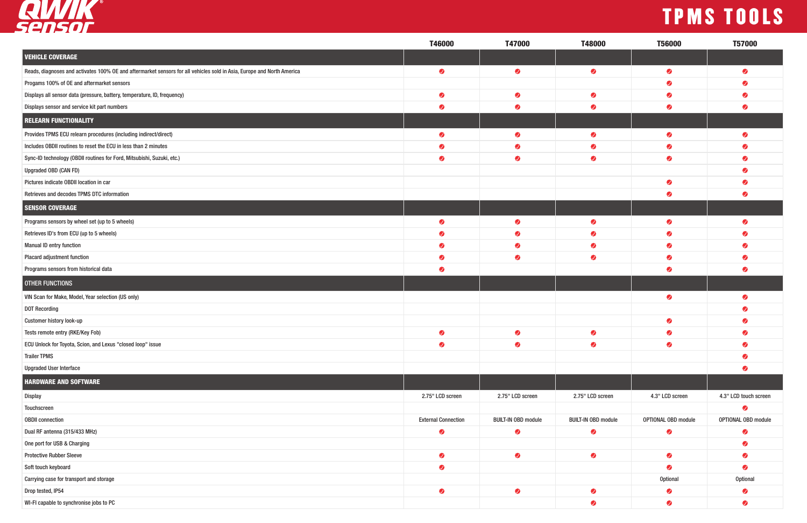## TPMS TOOLS



|                                                                                                                        | T46000                     | T47000                     | T48000                     | <b>T56000</b>       | <b>T57000</b>         |
|------------------------------------------------------------------------------------------------------------------------|----------------------------|----------------------------|----------------------------|---------------------|-----------------------|
| <b>VEHICLE COVERAGE</b>                                                                                                |                            |                            |                            |                     |                       |
| Reads, diagnoses and activates 100% OE and aftermarket sensors for all vehicles sold in Asia, Europe and North America | $\bullet$                  | $\bullet$                  | $\bullet$                  | $\bullet$           | Ø                     |
| Progams 100% of OE and aftermarket sensors                                                                             |                            |                            |                            | Ø                   |                       |
| Displays all sensor data (pressure, battery, temperature, ID, frequency)                                               | $\bullet$                  | $\bullet$                  | $\bullet$                  | $\bullet$           |                       |
| Displays sensor and service kit part numbers                                                                           | $\bullet$                  | $\bullet$                  | $\bullet$                  | Ø                   |                       |
| <b>RELEARN FUNCTIONALITY</b>                                                                                           |                            |                            |                            |                     |                       |
| Provides TPMS ECU relearn procedures (including indirect/direct)                                                       | $\bullet$                  | $\bullet$                  | $\bullet$                  | $\bullet$           |                       |
| Includes OBDII routines to reset the ECU in less than 2 minutes                                                        | $\bullet$                  | $\bullet$                  | $\bullet$                  | Ø                   |                       |
| Sync-ID technology (OBDII routines for Ford, Mitsubishi, Suzuki, etc.)                                                 | $\bullet$                  | $\bullet$                  | $\bullet$                  | $\bullet$           |                       |
| Upgraded OBD (CAN FD)                                                                                                  |                            |                            |                            |                     |                       |
| Pictures indicate OBDII location in car                                                                                |                            |                            |                            | $\bullet$           |                       |
| Retrieves and decodes TPMS DTC information                                                                             |                            |                            |                            | Ø                   |                       |
| <b>SENSOR COVERAGE</b>                                                                                                 |                            |                            |                            |                     |                       |
| Programs sensors by wheel set (up to 5 wheels)                                                                         | $\bullet$                  | $\bullet$                  | $\bullet$                  | $\bullet$           |                       |
| Retrieves ID's from ECU (up to 5 wheels)                                                                               | $\bullet$                  | $\bullet$                  | $\bullet$                  | Ø                   |                       |
| <b>Manual ID entry function</b>                                                                                        | Ø                          | $\bullet$                  | $\bullet$                  | $\bullet$           |                       |
| Placard adjustment function                                                                                            | $\bullet$                  | $\bullet$                  | $\bullet$                  | Ø                   |                       |
| Programs sensors from historical data                                                                                  | Ø                          |                            |                            | $\bullet$           |                       |
| <b>OTHER FUNCTIONS</b>                                                                                                 |                            |                            |                            |                     |                       |
| VIN Scan for Make, Model, Year selection (US only)                                                                     |                            |                            |                            | $\bullet$           | $\omega$              |
| <b>DOT Recording</b>                                                                                                   |                            |                            |                            |                     |                       |
| <b>Customer history look-up</b>                                                                                        |                            |                            |                            | $\bullet$           |                       |
| Tests remote entry (RKE/Key Fob)                                                                                       |                            | $\bullet$                  | $\bullet$                  | $\bullet$           | $\bullet$             |
| ECU Unlock for Toyota, Scion, and Lexus "closed loop" issue                                                            | $\bullet$                  | $\bullet$                  | $\bullet$                  | $\bullet$           | $\bullet$             |
| <b>Trailer TPMS</b>                                                                                                    |                            |                            |                            |                     | $\bullet$             |
| <b>Upgraded User Interface</b>                                                                                         |                            |                            |                            |                     | Ø                     |
| <b>HARDWARE AND SOFTWARE</b>                                                                                           |                            |                            |                            |                     |                       |
| Display                                                                                                                | 2.75" LCD screen           | 2.75" LCD screen           | 2.75" LCD screen           | 4.3" LCD screen     | 4.3" LCD touch screen |
| Touchscreen                                                                                                            |                            |                            |                            |                     | Ø                     |
| <b>OBDII</b> connection                                                                                                | <b>External Connection</b> | <b>BUILT-IN OBD module</b> | <b>BUILT-IN OBD module</b> | OPTIONAL OBD module | OPTIONAL OBD module   |
| Dual RF antenna (315/433 MHz)                                                                                          | $\bullet$                  | $\bullet$                  | $\bullet$                  | $\bullet$           | $\bullet$             |
| One port for USB & Charging                                                                                            |                            |                            |                            |                     | $\bullet$             |
| <b>Protective Rubber Sleeve</b>                                                                                        | $\bullet$                  | $\bullet$                  | $\bullet$                  | $\bullet$           | $\bullet$             |
| Soft touch keyboard                                                                                                    | $\bullet$                  |                            |                            | $\bullet$           | $\bullet$             |
| Carrying case for transport and storage                                                                                |                            |                            |                            | <b>Optional</b>     | Optional              |
| Drop tested, IP54                                                                                                      | $\bullet$                  | $\bullet$                  | $\bullet$                  | $\bullet$           | $\bullet$             |
| WI-FI capable to synchronise jobs to PC                                                                                |                            |                            | $\bullet$                  | $\bullet$           | $\bullet$             |